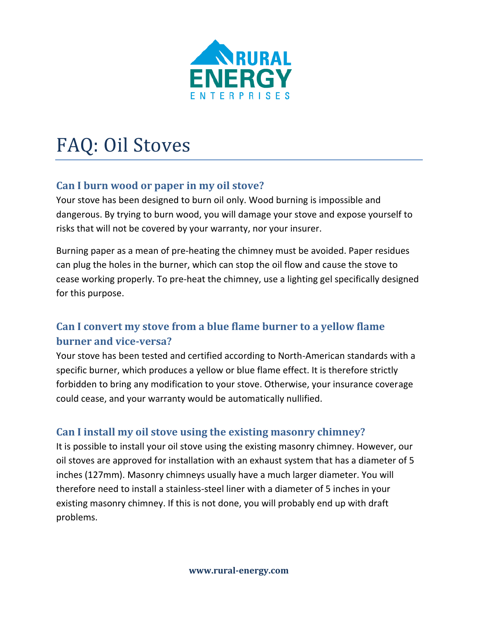

# FAQ: Oil Stoves

# **Can I burn wood or paper in my oil stove?**

Your stove has been designed to burn oil only. Wood burning is impossible and dangerous. By trying to burn wood, you will damage your stove and expose yourself to risks that will not be covered by your warranty, nor your insurer.

Burning paper as a mean of pre-heating the chimney must be avoided. Paper residues can plug the holes in the burner, which can stop the oil flow and cause the stove to cease working properly. To pre-heat the chimney, use a lighting gel specifically designed for this purpose.

# **Can I convert my stove from a blue flame burner to a yellow flame burner and vice-versa?**

Your stove has been tested and certified according to North-American standards with a specific burner, which produces a yellow or blue flame effect. It is therefore strictly forbidden to bring any modification to your stove. Otherwise, your insurance coverage could cease, and your warranty would be automatically nullified.

# **Can I install my oil stove using the existing masonry chimney?**

It is possible to install your oil stove using the existing masonry chimney. However, our oil stoves are approved for installation with an exhaust system that has a diameter of 5 inches (127mm). Masonry chimneys usually have a much larger diameter. You will therefore need to install a stainless-steel liner with a diameter of 5 inches in your existing masonry chimney. If this is not done, you will probably end up with draft problems.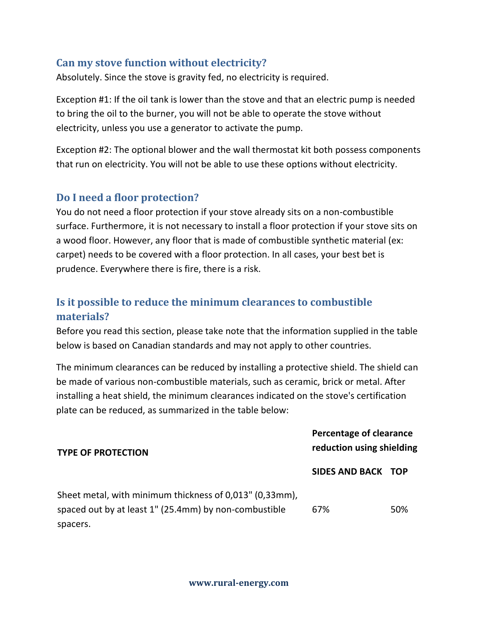### **Can my stove function without electricity?**

Absolutely. Since the stove is gravity fed, no electricity is required.

Exception #1: If the oil tank is lower than the stove and that an electric pump is needed to bring the oil to the burner, you will not be able to operate the stove without electricity, unless you use a generator to activate the pump.

Exception #2: The optional blower and the wall thermostat kit both possess components that run on electricity. You will not be able to use these options without electricity.

#### **Do I need a floor protection?**

You do not need a floor protection if your stove already sits on a non-combustible surface. Furthermore, it is not necessary to install a floor protection if your stove sits on a wood floor. However, any floor that is made of combustible synthetic material (ex: carpet) needs to be covered with a floor protection. In all cases, your best bet is prudence. Everywhere there is fire, there is a risk.

# **Is it possible to reduce the minimum clearances to combustible materials?**

Before you read this section, please take note that the information supplied in the table below is based on Canadian standards and may not apply to other countries.

The minimum clearances can be reduced by installing a protective shield. The shield can be made of various non-combustible materials, such as ceramic, brick or metal. After installing a heat shield, the minimum clearances indicated on the stove's certification plate can be reduced, as summarized in the table below:

| <b>TYPE OF PROTECTION</b>                                                                                        | Percentage of clearance<br>reduction using shielding |     |
|------------------------------------------------------------------------------------------------------------------|------------------------------------------------------|-----|
|                                                                                                                  | SIDES AND BACK TOP                                   |     |
| Sheet metal, with minimum thickness of 0,013" (0,33mm),<br>spaced out by at least 1" (25.4mm) by non-combustible | 67%                                                  | 50% |
| spacers.                                                                                                         |                                                      |     |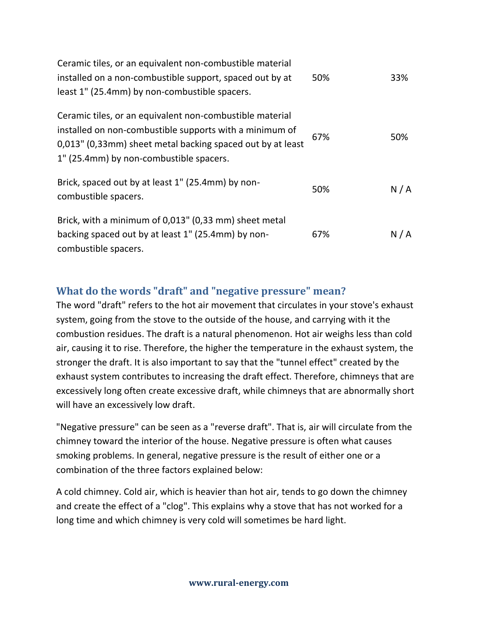| Ceramic tiles, or an equivalent non-combustible material<br>installed on a non-combustible support, spaced out by at                                                                                                         | 50% | 33% |
|------------------------------------------------------------------------------------------------------------------------------------------------------------------------------------------------------------------------------|-----|-----|
| least 1" (25.4mm) by non-combustible spacers.                                                                                                                                                                                |     |     |
| Ceramic tiles, or an equivalent non-combustible material<br>installed on non-combustible supports with a minimum of<br>0,013" (0,33mm) sheet metal backing spaced out by at least<br>1" (25.4mm) by non-combustible spacers. | 67% | 50% |
| Brick, spaced out by at least 1" (25.4mm) by non-<br>combustible spacers.                                                                                                                                                    | 50% | N/A |
| Brick, with a minimum of 0,013" (0,33 mm) sheet metal<br>backing spaced out by at least 1" (25.4mm) by non-<br>combustible spacers.                                                                                          | 67% | N/A |

# **What do the words "draft" and "negative pressure" mean?**

The word "draft" refers to the hot air movement that circulates in your stove's exhaust system, going from the stove to the outside of the house, and carrying with it the combustion residues. The draft is a natural phenomenon. Hot air weighs less than cold air, causing it to rise. Therefore, the higher the temperature in the exhaust system, the stronger the draft. It is also important to say that the "tunnel effect" created by the exhaust system contributes to increasing the draft effect. Therefore, chimneys that are excessively long often create excessive draft, while chimneys that are abnormally short will have an excessively low draft.

"Negative pressure" can be seen as a "reverse draft". That is, air will circulate from the chimney toward the interior of the house. Negative pressure is often what causes smoking problems. In general, negative pressure is the result of either one or a combination of the three factors explained below:

A cold chimney. Cold air, which is heavier than hot air, tends to go down the chimney and create the effect of a "clog". This explains why a stove that has not worked for a long time and which chimney is very cold will sometimes be hard light.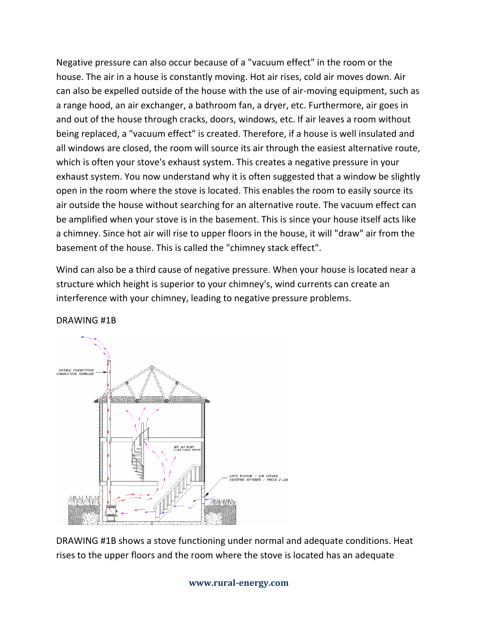Negative pressure can also occur because of a "vacuum effect" in the room or the house. The air in a house is constantly moving. Hot air rises, cold air moves down. Air can also be expelled outside of the house with the use of air-moving equipment, such as a range hood, an air exchanger, a bathroom fan, a dryer, etc. Furthermore, air goes in and out of the house through cracks, doors, windows, etc. If air leaves a room without being replaced, a "vacuum effect" is created. Therefore, if a house is well insulated and all windows are closed, the room will source its air through the easiest alternative route, which is often your stove's exhaust system. This creates a negative pressure in your exhaust system. You now understand why it is often suggested that a window be slightly open in the room where the stove is located. This enables the room to easily source its air outside the house without searching for an alternative route. The vacuum effect can be amplified when your stove is in the basement. This is since your house itself acts like a chimney. Since hot air will rise to upper floors in the house, it will "draw" air from the basement of the house. This is called the "chimney stack effect".

Wind can also be a third cause of negative pressure. When your house is located near a structure which height is superior to your chimney's, wind currents can create an interference with your chimney, leading to negative pressure problems.



#### DRAWING #1B

DRAWING #1B shows a stove functioning under normal and adequate conditions. Heat rises to the upper floors and the room where the stove is located has an adequate

#### **www.rural-energy.com**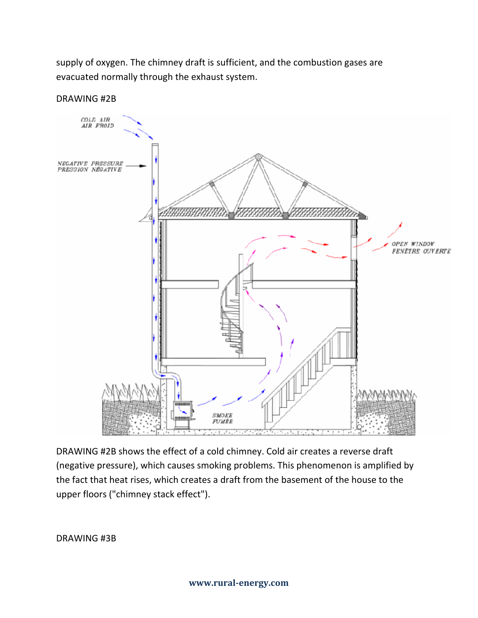supply of oxygen. The chimney draft is sufficient, and the combustion gases are evacuated normally through the exhaust system.



DRAWING #2B

DRAWING #2B shows the effect of a cold chimney. Cold air creates a reverse draft (negative pressure), which causes smoking problems. This phenomenon is amplified by the fact that heat rises, which creates a draft from the basement of the house to the upper floors ("chimney stack effect").

DRAWING #3B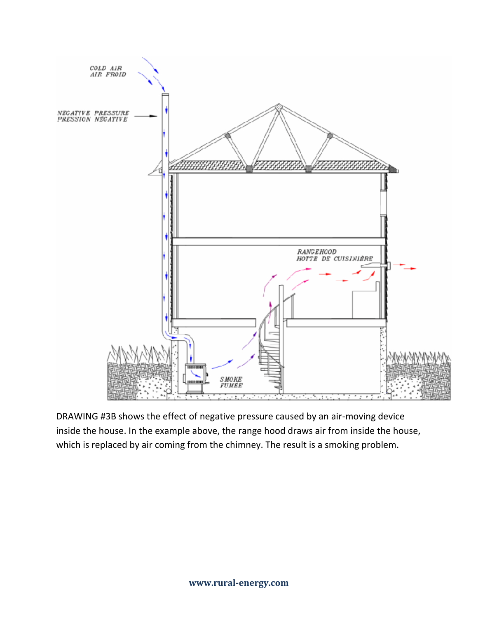

DRAWING #3B shows the effect of negative pressure caused by an air-moving device inside the house. In the example above, the range hood draws air from inside the house, which is replaced by air coming from the chimney. The result is a smoking problem.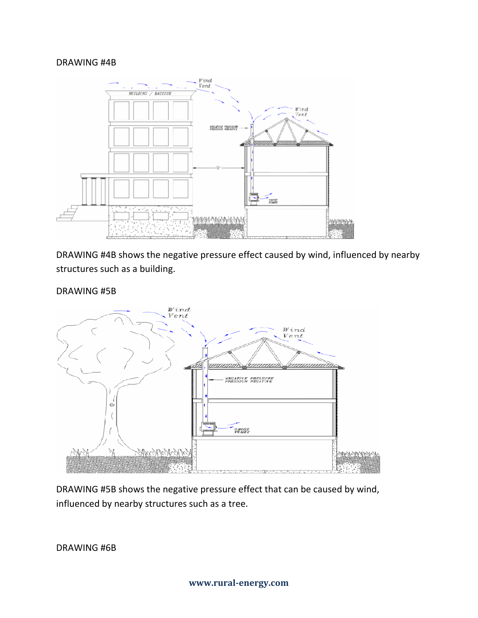#### DRAWING #4B



DRAWING #4B shows the negative pressure effect caused by wind, influenced by nearby structures such as a building.

#### DRAWING #5B



DRAWING #5B shows the negative pressure effect that can be caused by wind, influenced by nearby structures such as a tree.

DRAWING #6B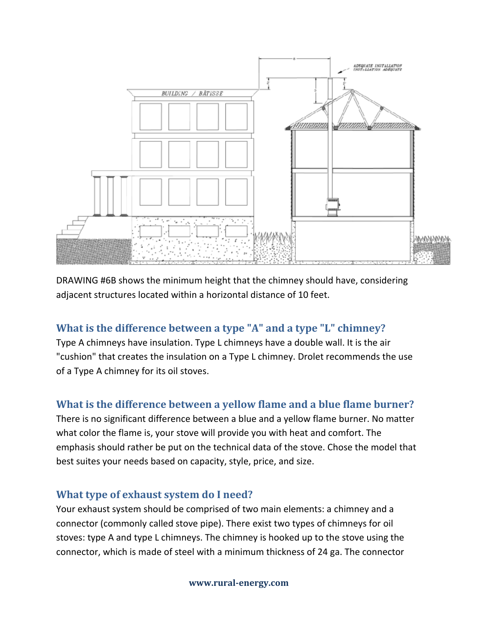

DRAWING #6B shows the minimum height that the chimney should have, considering adjacent structures located within a horizontal distance of 10 feet.

# **What is the difference between a type "A" and a type "L" chimney?**

Type A chimneys have insulation. Type L chimneys have a double wall. It is the air "cushion" that creates the insulation on a Type L chimney. Drolet recommends the use of a Type A chimney for its oil stoves.

# **What is the difference between a yellow flame and a blue flame burner?**

There is no significant difference between a blue and a yellow flame burner. No matter what color the flame is, your stove will provide you with heat and comfort. The emphasis should rather be put on the technical data of the stove. Chose the model that best suites your needs based on capacity, style, price, and size.

# **What type of exhaust system do I need?**

Your exhaust system should be comprised of two main elements: a chimney and a connector (commonly called stove pipe). There exist two types of chimneys for oil stoves: type A and type L chimneys. The chimney is hooked up to the stove using the connector, which is made of steel with a minimum thickness of 24 ga. The connector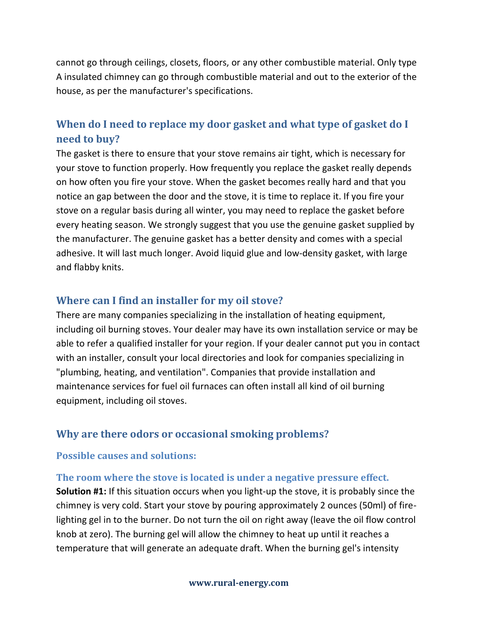cannot go through ceilings, closets, floors, or any other combustible material. Only type A insulated chimney can go through combustible material and out to the exterior of the house, as per the manufacturer's specifications.

# **When do I need to replace my door gasket and what type of gasket do I need to buy?**

The gasket is there to ensure that your stove remains air tight, which is necessary for your stove to function properly. How frequently you replace the gasket really depends on how often you fire your stove. When the gasket becomes really hard and that you notice an gap between the door and the stove, it is time to replace it. If you fire your stove on a regular basis during all winter, you may need to replace the gasket before every heating season. We strongly suggest that you use the genuine gasket supplied by the manufacturer. The genuine gasket has a better density and comes with a special adhesive. It will last much longer. Avoid liquid glue and low-density gasket, with large and flabby knits.

#### **Where can I find an installer for my oil stove?**

There are many companies specializing in the installation of heating equipment, including oil burning stoves. Your dealer may have its own installation service or may be able to refer a qualified installer for your region. If your dealer cannot put you in contact with an installer, consult your local directories and look for companies specializing in "plumbing, heating, and ventilation". Companies that provide installation and maintenance services for fuel oil furnaces can often install all kind of oil burning equipment, including oil stoves.

#### **Why are there odors or occasional smoking problems?**

#### **Possible causes and solutions:**

#### **The room where the stove is located is under a negative pressure effect.**

**Solution #1:** If this situation occurs when you light-up the stove, it is probably since the chimney is very cold. Start your stove by pouring approximately 2 ounces (50ml) of firelighting gel in to the burner. Do not turn the oil on right away (leave the oil flow control knob at zero). The burning gel will allow the chimney to heat up until it reaches a temperature that will generate an adequate draft. When the burning gel's intensity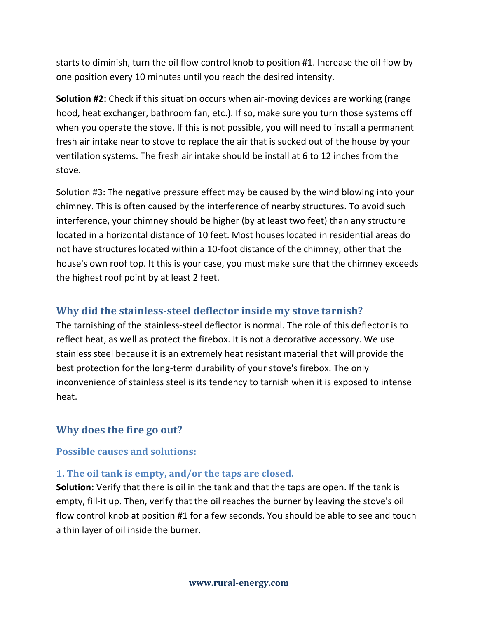starts to diminish, turn the oil flow control knob to position #1. Increase the oil flow by one position every 10 minutes until you reach the desired intensity.

**Solution #2:** Check if this situation occurs when air-moving devices are working (range hood, heat exchanger, bathroom fan, etc.). If so, make sure you turn those systems off when you operate the stove. If this is not possible, you will need to install a permanent fresh air intake near to stove to replace the air that is sucked out of the house by your ventilation systems. The fresh air intake should be install at 6 to 12 inches from the stove.

Solution #3: The negative pressure effect may be caused by the wind blowing into your chimney. This is often caused by the interference of nearby structures. To avoid such interference, your chimney should be higher (by at least two feet) than any structure located in a horizontal distance of 10 feet. Most houses located in residential areas do not have structures located within a 10-foot distance of the chimney, other that the house's own roof top. It this is your case, you must make sure that the chimney exceeds the highest roof point by at least 2 feet.

#### **Why did the stainless-steel deflector inside my stove tarnish?**

The tarnishing of the stainless-steel deflector is normal. The role of this deflector is to reflect heat, as well as protect the firebox. It is not a decorative accessory. We use stainless steel because it is an extremely heat resistant material that will provide the best protection for the long-term durability of your stove's firebox. The only inconvenience of stainless steel is its tendency to tarnish when it is exposed to intense heat.

#### **Why does the fire go out?**

#### **Possible causes and solutions:**

#### **1. The oil tank is empty, and/or the taps are closed.**

**Solution:** Verify that there is oil in the tank and that the taps are open. If the tank is empty, fill-it up. Then, verify that the oil reaches the burner by leaving the stove's oil flow control knob at position #1 for a few seconds. You should be able to see and touch a thin layer of oil inside the burner.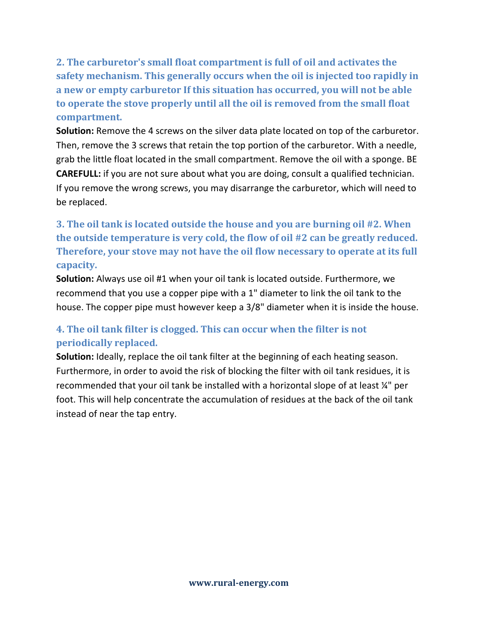**2. The carburetor's small float compartment is full of oil and activates the safety mechanism. This generally occurs when the oil is injected too rapidly in a new or empty carburetor If this situation has occurred, you will not be able to operate the stove properly until all the oil is removed from the small float compartment.**

**Solution:** Remove the 4 screws on the silver data plate located on top of the carburetor. Then, remove the 3 screws that retain the top portion of the carburetor. With a needle, grab the little float located in the small compartment. Remove the oil with a sponge. BE **CAREFULL:** if you are not sure about what you are doing, consult a qualified technician. If you remove the wrong screws, you may disarrange the carburetor, which will need to be replaced.

# **3. The oil tank is located outside the house and you are burning oil #2. When the outside temperature is very cold, the flow of oil #2 can be greatly reduced. Therefore, your stove may not have the oil flow necessary to operate at its full capacity.**

**Solution:** Always use oil #1 when your oil tank is located outside. Furthermore, we recommend that you use a copper pipe with a 1" diameter to link the oil tank to the house. The copper pipe must however keep a 3/8" diameter when it is inside the house.

# **4. The oil tank filter is clogged. This can occur when the filter is not periodically replaced.**

**Solution:** Ideally, replace the oil tank filter at the beginning of each heating season. Furthermore, in order to avoid the risk of blocking the filter with oil tank residues, it is recommended that your oil tank be installed with a horizontal slope of at least ¼" per foot. This will help concentrate the accumulation of residues at the back of the oil tank instead of near the tap entry.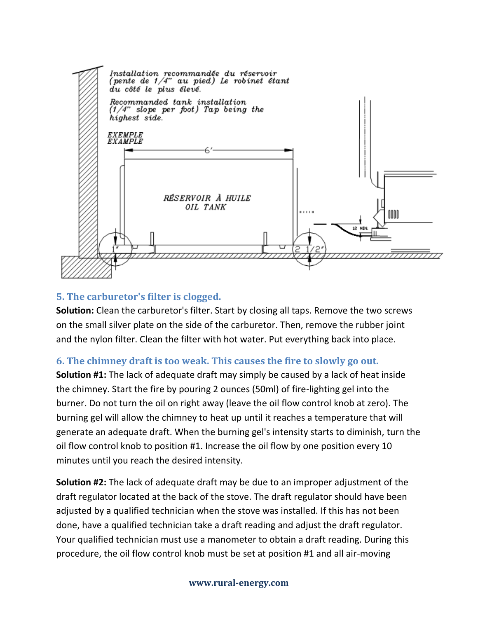

#### **5. The carburetor's filter is clogged.**

**Solution:** Clean the carburetor's filter. Start by closing all taps. Remove the two screws on the small silver plate on the side of the carburetor. Then, remove the rubber joint and the nylon filter. Clean the filter with hot water. Put everything back into place.

#### **6. The chimney draft is too weak. This causes the fire to slowly go out.**

**Solution #1:** The lack of adequate draft may simply be caused by a lack of heat inside the chimney. Start the fire by pouring 2 ounces (50ml) of fire-lighting gel into the burner. Do not turn the oil on right away (leave the oil flow control knob at zero). The burning gel will allow the chimney to heat up until it reaches a temperature that will generate an adequate draft. When the burning gel's intensity starts to diminish, turn the oil flow control knob to position #1. Increase the oil flow by one position every 10 minutes until you reach the desired intensity.

**Solution #2:** The lack of adequate draft may be due to an improper adjustment of the draft regulator located at the back of the stove. The draft regulator should have been adjusted by a qualified technician when the stove was installed. If this has not been done, have a qualified technician take a draft reading and adjust the draft regulator. Your qualified technician must use a manometer to obtain a draft reading. During this procedure, the oil flow control knob must be set at position #1 and all air-moving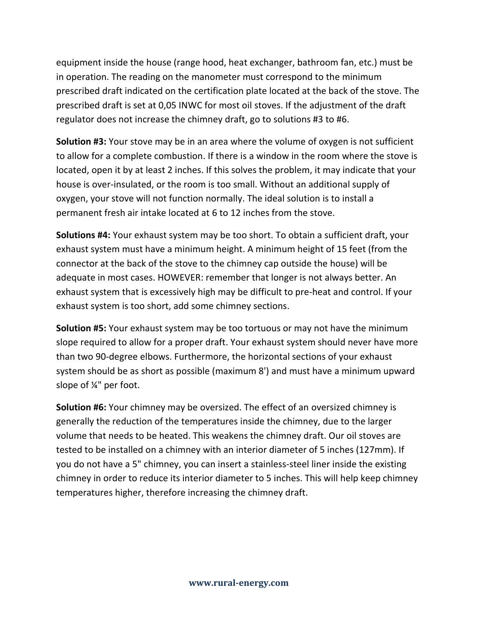equipment inside the house (range hood, heat exchanger, bathroom fan, etc.) must be in operation. The reading on the manometer must correspond to the minimum prescribed draft indicated on the certification plate located at the back of the stove. The prescribed draft is set at 0,05 INWC for most oil stoves. If the adjustment of the draft regulator does not increase the chimney draft, go to solutions #3 to #6.

**Solution #3:** Your stove may be in an area where the volume of oxygen is not sufficient to allow for a complete combustion. If there is a window in the room where the stove is located, open it by at least 2 inches. If this solves the problem, it may indicate that your house is over-insulated, or the room is too small. Without an additional supply of oxygen, your stove will not function normally. The ideal solution is to install a permanent fresh air intake located at 6 to 12 inches from the stove.

**Solutions #4:** Your exhaust system may be too short. To obtain a sufficient draft, your exhaust system must have a minimum height. A minimum height of 15 feet (from the connector at the back of the stove to the chimney cap outside the house) will be adequate in most cases. HOWEVER: remember that longer is not always better. An exhaust system that is excessively high may be difficult to pre-heat and control. If your exhaust system is too short, add some chimney sections.

**Solution #5:** Your exhaust system may be too tortuous or may not have the minimum slope required to allow for a proper draft. Your exhaust system should never have more than two 90-degree elbows. Furthermore, the horizontal sections of your exhaust system should be as short as possible (maximum 8') and must have a minimum upward slope of ¼" per foot.

**Solution #6:** Your chimney may be oversized. The effect of an oversized chimney is generally the reduction of the temperatures inside the chimney, due to the larger volume that needs to be heated. This weakens the chimney draft. Our oil stoves are tested to be installed on a chimney with an interior diameter of 5 inches (127mm). If you do not have a 5" chimney, you can insert a stainless-steel liner inside the existing chimney in order to reduce its interior diameter to 5 inches. This will help keep chimney temperatures higher, therefore increasing the chimney draft.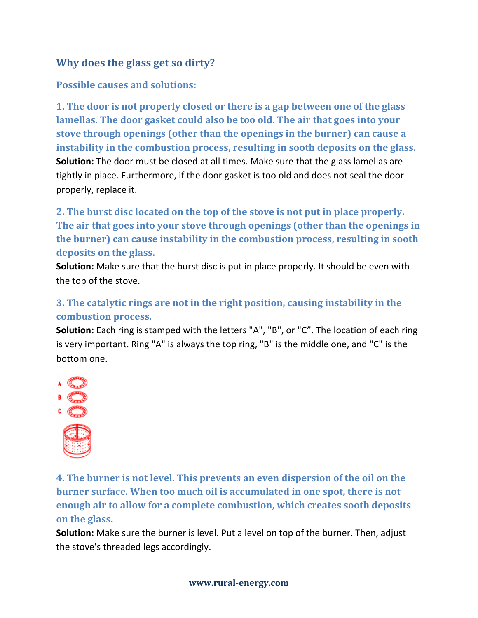# **Why does the glass get so dirty?**

#### **Possible causes and solutions:**

**1. The door is not properly closed or there is a gap between one of the glass lamellas. The door gasket could also be too old. The air that goes into your stove through openings (other than the openings in the burner) can cause a instability in the combustion process, resulting in sooth deposits on the glass. Solution:** The door must be closed at all times. Make sure that the glass lamellas are tightly in place. Furthermore, if the door gasket is too old and does not seal the door properly, replace it.

**2. The burst disc located on the top of the stove is not put in place properly. The air that goes into your stove through openings (other than the openings in the burner) can cause instability in the combustion process, resulting in sooth deposits on the glass.**

**Solution:** Make sure that the burst disc is put in place properly. It should be even with the top of the stove.

# **3. The catalytic rings are not in the right position, causing instability in the combustion process.**

**Solution:** Each ring is stamped with the letters "A", "B", or "C". The location of each ring is very important. Ring "A" is always the top ring, "B" is the middle one, and "C" is the bottom one.



**4. The burner is not level. This prevents an even dispersion of the oil on the burner surface. When too much oil is accumulated in one spot, there is not enough air to allow for a complete combustion, which creates sooth deposits on the glass.**

**Solution:** Make sure the burner is level. Put a level on top of the burner. Then, adjust the stove's threaded legs accordingly.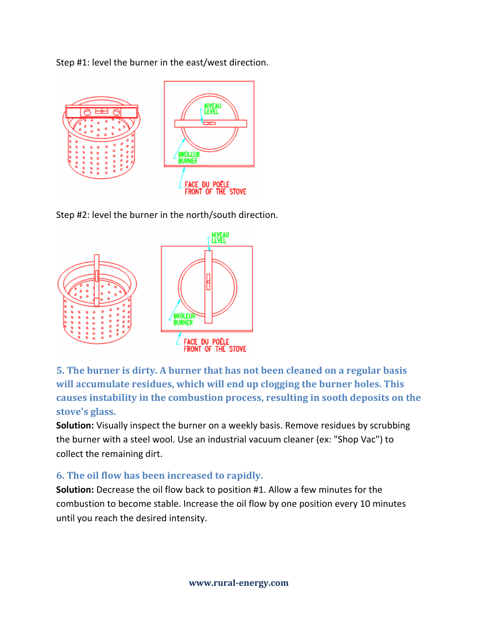Step #1: level the burner in the east/west direction.



Step #2: level the burner in the north/south direction.



**5. The burner is dirty. A burner that has not been cleaned on a regular basis will accumulate residues, which will end up clogging the burner holes. This causes instability in the combustion process, resulting in sooth deposits on the stove's glass.**

**Solution:** Visually inspect the burner on a weekly basis. Remove residues by scrubbing the burner with a steel wool. Use an industrial vacuum cleaner (ex: "Shop Vac") to collect the remaining dirt.

#### **6. The oil flow has been increased to rapidly.**

**Solution:** Decrease the oil flow back to position #1. Allow a few minutes for the combustion to become stable. Increase the oil flow by one position every 10 minutes until you reach the desired intensity.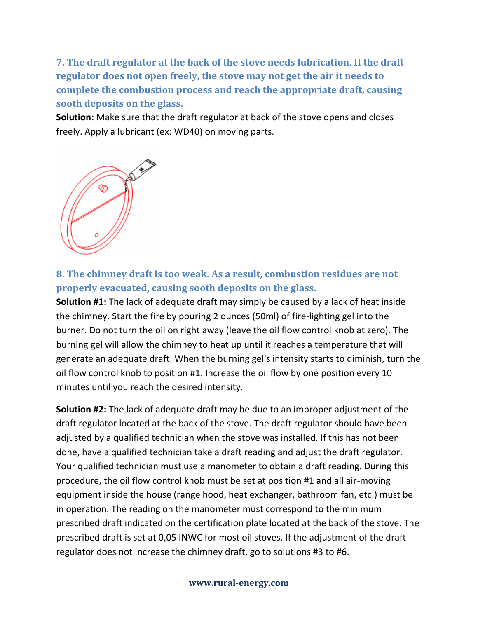**7. The draft regulator at the back of the stove needs lubrication. If the draft regulator does not open freely, the stove may not get the air it needs to complete the combustion process and reach the appropriate draft, causing sooth deposits on the glass.**

**Solution:** Make sure that the draft regulator at back of the stove opens and closes freely. Apply a lubricant (ex: WD40) on moving parts.



# **8. The chimney draft is too weak. As a result, combustion residues are not properly evacuated, causing sooth deposits on the glass.**

**Solution #1:** The lack of adequate draft may simply be caused by a lack of heat inside the chimney. Start the fire by pouring 2 ounces (50ml) of fire-lighting gel into the burner. Do not turn the oil on right away (leave the oil flow control knob at zero). The burning gel will allow the chimney to heat up until it reaches a temperature that will generate an adequate draft. When the burning gel's intensity starts to diminish, turn the oil flow control knob to position #1. Increase the oil flow by one position every 10 minutes until you reach the desired intensity.

**Solution #2:** The lack of adequate draft may be due to an improper adjustment of the draft regulator located at the back of the stove. The draft regulator should have been adjusted by a qualified technician when the stove was installed. If this has not been done, have a qualified technician take a draft reading and adjust the draft regulator. Your qualified technician must use a manometer to obtain a draft reading. During this procedure, the oil flow control knob must be set at position #1 and all air-moving equipment inside the house (range hood, heat exchanger, bathroom fan, etc.) must be in operation. The reading on the manometer must correspond to the minimum prescribed draft indicated on the certification plate located at the back of the stove. The prescribed draft is set at 0,05 INWC for most oil stoves. If the adjustment of the draft regulator does not increase the chimney draft, go to solutions #3 to #6.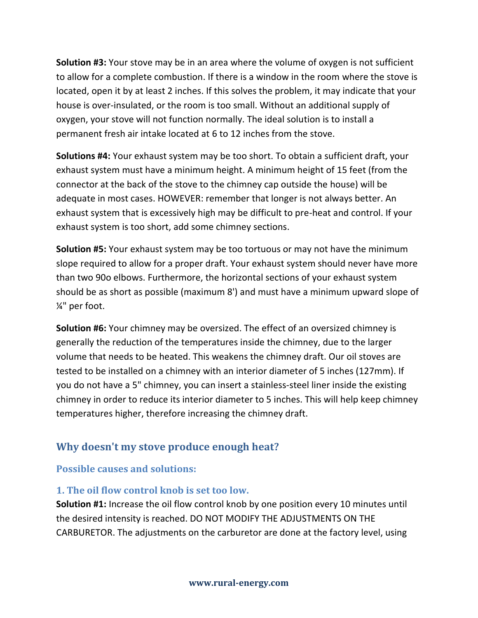**Solution #3:** Your stove may be in an area where the volume of oxygen is not sufficient to allow for a complete combustion. If there is a window in the room where the stove is located, open it by at least 2 inches. If this solves the problem, it may indicate that your house is over-insulated, or the room is too small. Without an additional supply of oxygen, your stove will not function normally. The ideal solution is to install a permanent fresh air intake located at 6 to 12 inches from the stove.

**Solutions #4:** Your exhaust system may be too short. To obtain a sufficient draft, your exhaust system must have a minimum height. A minimum height of 15 feet (from the connector at the back of the stove to the chimney cap outside the house) will be adequate in most cases. HOWEVER: remember that longer is not always better. An exhaust system that is excessively high may be difficult to pre-heat and control. If your exhaust system is too short, add some chimney sections.

**Solution #5:** Your exhaust system may be too tortuous or may not have the minimum slope required to allow for a proper draft. Your exhaust system should never have more than two 90o elbows. Furthermore, the horizontal sections of your exhaust system should be as short as possible (maximum 8') and must have a minimum upward slope of ¼" per foot.

**Solution #6:** Your chimney may be oversized. The effect of an oversized chimney is generally the reduction of the temperatures inside the chimney, due to the larger volume that needs to be heated. This weakens the chimney draft. Our oil stoves are tested to be installed on a chimney with an interior diameter of 5 inches (127mm). If you do not have a 5" chimney, you can insert a stainless-steel liner inside the existing chimney in order to reduce its interior diameter to 5 inches. This will help keep chimney temperatures higher, therefore increasing the chimney draft.

# **Why doesn't my stove produce enough heat?**

#### **Possible causes and solutions:**

#### **1. The oil flow control knob is set too low.**

**Solution #1:** Increase the oil flow control knob by one position every 10 minutes until the desired intensity is reached. DO NOT MODIFY THE ADJUSTMENTS ON THE CARBURETOR. The adjustments on the carburetor are done at the factory level, using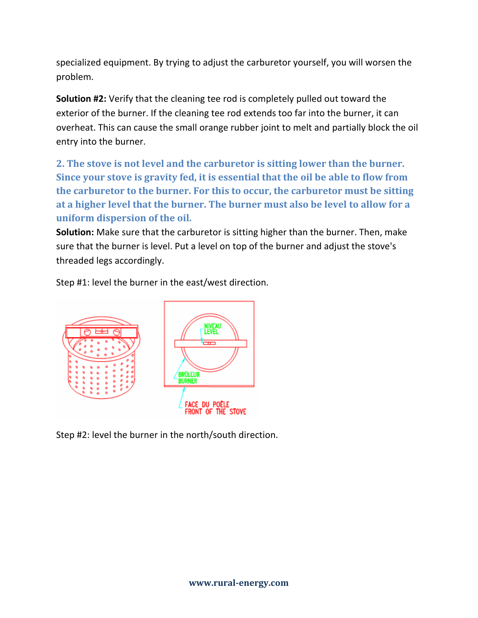specialized equipment. By trying to adjust the carburetor yourself, you will worsen the problem.

**Solution #2:** Verify that the cleaning tee rod is completely pulled out toward the exterior of the burner. If the cleaning tee rod extends too far into the burner, it can overheat. This can cause the small orange rubber joint to melt and partially block the oil entry into the burner.

**2. The stove is not level and the carburetor is sitting lower than the burner. Since your stove is gravity fed, it is essential that the oil be able to flow from the carburetor to the burner. For this to occur, the carburetor must be sitting at a higher level that the burner. The burner must also be level to allow for a uniform dispersion of the oil.**

**Solution:** Make sure that the carburetor is sitting higher than the burner. Then, make sure that the burner is level. Put a level on top of the burner and adjust the stove's threaded legs accordingly.

Step #1: level the burner in the east/west direction.



Step #2: level the burner in the north/south direction.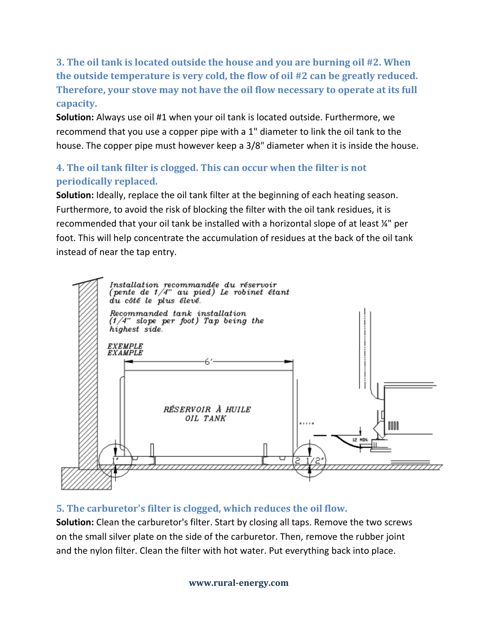**3. The oil tank is located outside the house and you are burning oil #2. When the outside temperature is very cold, the flow of oil #2 can be greatly reduced. Therefore, your stove may not have the oil flow necessary to operate at its full capacity.**

**Solution:** Always use oil #1 when your oil tank is located outside. Furthermore, we recommend that you use a copper pipe with a 1" diameter to link the oil tank to the house. The copper pipe must however keep a 3/8" diameter when it is inside the house.

# **4. The oil tank filter is clogged. This can occur when the filter is not periodically replaced.**

**Solution:** Ideally, replace the oil tank filter at the beginning of each heating season. Furthermore, to avoid the risk of blocking the filter with the oil tank residues, it is recommended that your oil tank be installed with a horizontal slope of at least  $\mathcal{U}^{\prime}$  per foot. This will help concentrate the accumulation of residues at the back of the oil tank instead of near the tap entry.



# **5. The carburetor's filter is clogged, which reduces the oil flow.**

**Solution:** Clean the carburetor's filter. Start by closing all taps. Remove the two screws on the small silver plate on the side of the carburetor. Then, remove the rubber joint and the nylon filter. Clean the filter with hot water. Put everything back into place.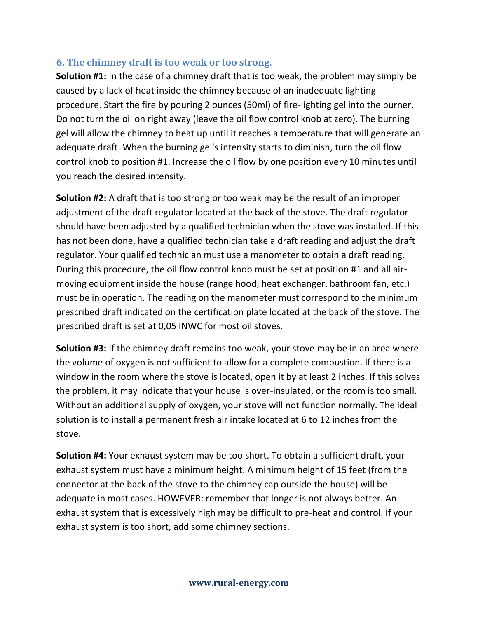#### **6. The chimney draft is too weak or too strong.**

**Solution #1:** In the case of a chimney draft that is too weak, the problem may simply be caused by a lack of heat inside the chimney because of an inadequate lighting procedure. Start the fire by pouring 2 ounces (50ml) of fire-lighting gel into the burner. Do not turn the oil on right away (leave the oil flow control knob at zero). The burning gel will allow the chimney to heat up until it reaches a temperature that will generate an adequate draft. When the burning gel's intensity starts to diminish, turn the oil flow control knob to position #1. Increase the oil flow by one position every 10 minutes until you reach the desired intensity.

**Solution #2:** A draft that is too strong or too weak may be the result of an improper adjustment of the draft regulator located at the back of the stove. The draft regulator should have been adjusted by a qualified technician when the stove was installed. If this has not been done, have a qualified technician take a draft reading and adjust the draft regulator. Your qualified technician must use a manometer to obtain a draft reading. During this procedure, the oil flow control knob must be set at position #1 and all airmoving equipment inside the house (range hood, heat exchanger, bathroom fan, etc.) must be in operation. The reading on the manometer must correspond to the minimum prescribed draft indicated on the certification plate located at the back of the stove. The prescribed draft is set at 0,05 INWC for most oil stoves.

**Solution #3:** If the chimney draft remains too weak, your stove may be in an area where the volume of oxygen is not sufficient to allow for a complete combustion. If there is a window in the room where the stove is located, open it by at least 2 inches. If this solves the problem, it may indicate that your house is over-insulated, or the room is too small. Without an additional supply of oxygen, your stove will not function normally. The ideal solution is to install a permanent fresh air intake located at 6 to 12 inches from the stove.

**Solution #4:** Your exhaust system may be too short. To obtain a sufficient draft, your exhaust system must have a minimum height. A minimum height of 15 feet (from the connector at the back of the stove to the chimney cap outside the house) will be adequate in most cases. HOWEVER: remember that longer is not always better. An exhaust system that is excessively high may be difficult to pre-heat and control. If your exhaust system is too short, add some chimney sections.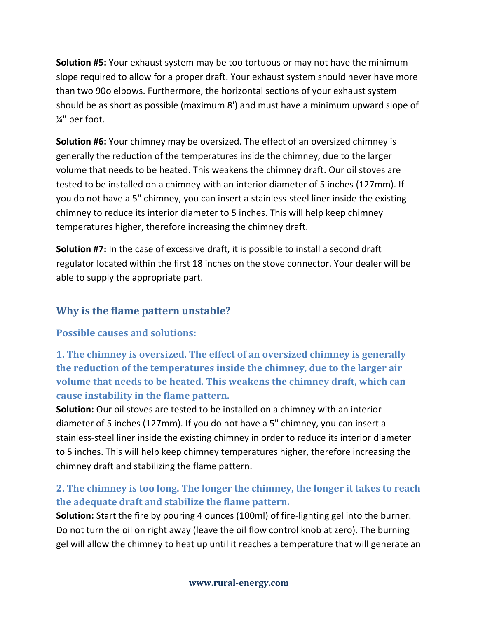**Solution #5:** Your exhaust system may be too tortuous or may not have the minimum slope required to allow for a proper draft. Your exhaust system should never have more than two 90o elbows. Furthermore, the horizontal sections of your exhaust system should be as short as possible (maximum 8') and must have a minimum upward slope of ¼" per foot.

**Solution #6:** Your chimney may be oversized. The effect of an oversized chimney is generally the reduction of the temperatures inside the chimney, due to the larger volume that needs to be heated. This weakens the chimney draft. Our oil stoves are tested to be installed on a chimney with an interior diameter of 5 inches (127mm). If you do not have a 5" chimney, you can insert a stainless-steel liner inside the existing chimney to reduce its interior diameter to 5 inches. This will help keep chimney temperatures higher, therefore increasing the chimney draft.

**Solution #7:** In the case of excessive draft, it is possible to install a second draft regulator located within the first 18 inches on the stove connector. Your dealer will be able to supply the appropriate part.

# **Why is the flame pattern unstable?**

#### **Possible causes and solutions:**

**1. The chimney is oversized. The effect of an oversized chimney is generally the reduction of the temperatures inside the chimney, due to the larger air volume that needs to be heated. This weakens the chimney draft, which can cause instability in the flame pattern.**

**Solution:** Our oil stoves are tested to be installed on a chimney with an interior diameter of 5 inches (127mm). If you do not have a 5" chimney, you can insert a stainless-steel liner inside the existing chimney in order to reduce its interior diameter to 5 inches. This will help keep chimney temperatures higher, therefore increasing the chimney draft and stabilizing the flame pattern.

# **2. The chimney is too long. The longer the chimney, the longer it takes to reach the adequate draft and stabilize the flame pattern.**

**Solution:** Start the fire by pouring 4 ounces (100ml) of fire-lighting gel into the burner. Do not turn the oil on right away (leave the oil flow control knob at zero). The burning gel will allow the chimney to heat up until it reaches a temperature that will generate an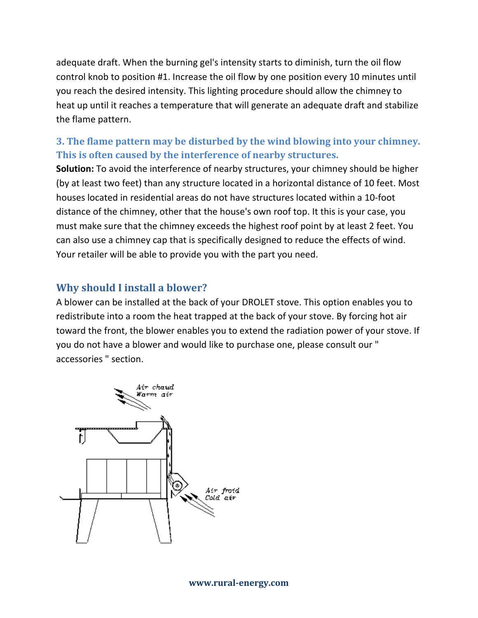adequate draft. When the burning gel's intensity starts to diminish, turn the oil flow control knob to position #1. Increase the oil flow by one position every 10 minutes until you reach the desired intensity. This lighting procedure should allow the chimney to heat up until it reaches a temperature that will generate an adequate draft and stabilize the flame pattern.

# **3. The flame pattern may be disturbed by the wind blowing into your chimney. This is often caused by the interference of nearby structures.**

**Solution:** To avoid the interference of nearby structures, your chimney should be higher (by at least two feet) than any structure located in a horizontal distance of 10 feet. Most houses located in residential areas do not have structures located within a 10-foot distance of the chimney, other that the house's own roof top. It this is your case, you must make sure that the chimney exceeds the highest roof point by at least 2 feet. You can also use a chimney cap that is specifically designed to reduce the effects of wind. Your retailer will be able to provide you with the part you need.

# **Why should I install a blower?**

A blower can be installed at the back of your DROLET stove. This option enables you to redistribute into a room the heat trapped at the back of your stove. By forcing hot air toward the front, the blower enables you to extend the radiation power of your stove. If you do not have a blower and would like to purchase one, please consult our " accessories " section.